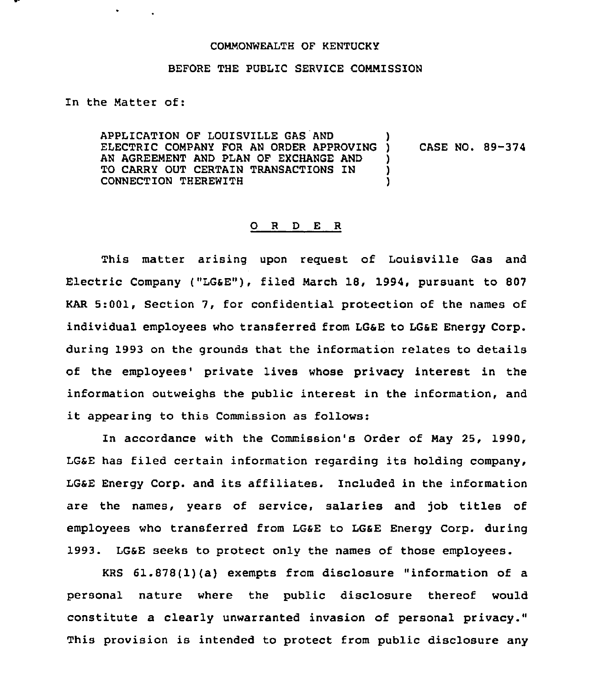## COMMONWEALTH OF KENTUCKY

## BEFORE THE PUBLIC SERVICE COMMISSION

In the Matter of:

APPLICATION OF LOUISVILLE GAS AND APPLICATION OF LOUISVILLE GAS AND<br>ELECTRIC COMPANY FOR AN ORDER APPROVING ) AN AGREEMENT AND PLAN OF EXCHANGE AND TO CARRY OUT CERTAIN TRANSACTlONS IN CONNECTION THEREWITH ) CASE NO. 89-374 ) ) )

## 0 <sup>R</sup> <sup>D</sup> E R

This matter arising upon request of Louisville Gas and Electric Company ("LGSE"), filed March 18, 1994, pursuant to 807 KAR 5:001, Section 7, for confidential protection of the names of individual employees who transferred from LGSE to LGSE Energy corp. during 1993 on the grounds that the information relates to details of the employees' private lives whose privacy interest in the information outweighs the public interest in the information, and it appearing to this Commission as follows:

In accordance with the Commission's Order of May 25, 1990, LGSE has filed certain information regarding its holding company, LGSE Energy Corp. and its affiliates. Included in the information are the names, years of service, salaries and job titles of employees who transferred from LG&E to LG&E Energy Corp. during 1993. LGaE seeks to protect only the names of those employees.

KRS 61.878(1)(a) exempts from disclosure "information of a personal nature where the public disclosure thereof would constitute a clearly unwarranted invasion of personal privacy." This provision is intended to protect from public disclosure any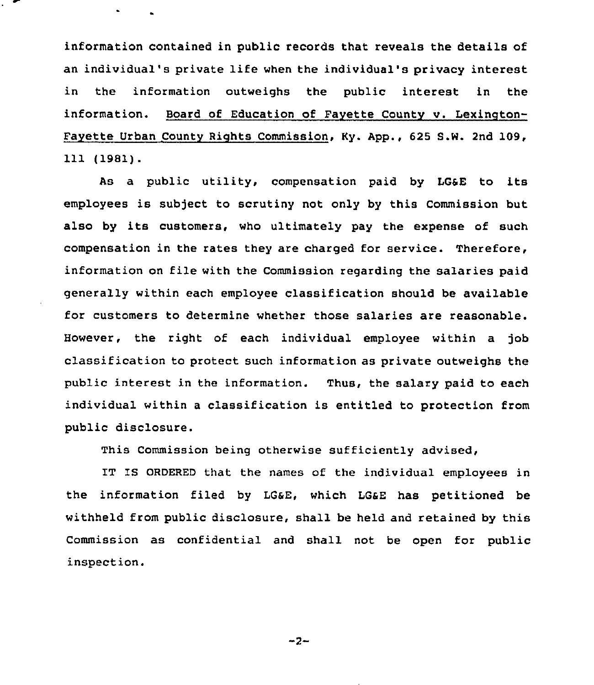information contained in public records that reveals the details of an individual's private life when the individual's privacy interest in the information outweighs the public interest in the information. Board of Education of Fayette County v. Lexington-Fayette Urban County Rights Commission, Ky. App., 625 S.W. 2nd 109, 111 (1981).

As a public utility, compensation paid by LGSE to its employees is subject to scrutiny not only by this Commission but also by its customers, who ultimately pay the expense of such compensation in the rates they are charged for service. Therefore, information on file with the Commission regarding the salaries paid generally within each employee classification should be available for customers to determine whether those salaries are reasonable. However, the right of each individual employee within a job classification to protect such information as private outweighs the public interest in the information. Thus, the salary paid to each individual within a classification is entitled to protection from public disclosure.

This Commission being otherwise sufficiently advised,

IT IS ORDERED that the names of the individual employees in the information filed by LGaE, which LGsE has petitioned be withheld from public disclosure, shall be held and retained by this Commission as confidential and shall not be open for public inspection.

 $-2-$